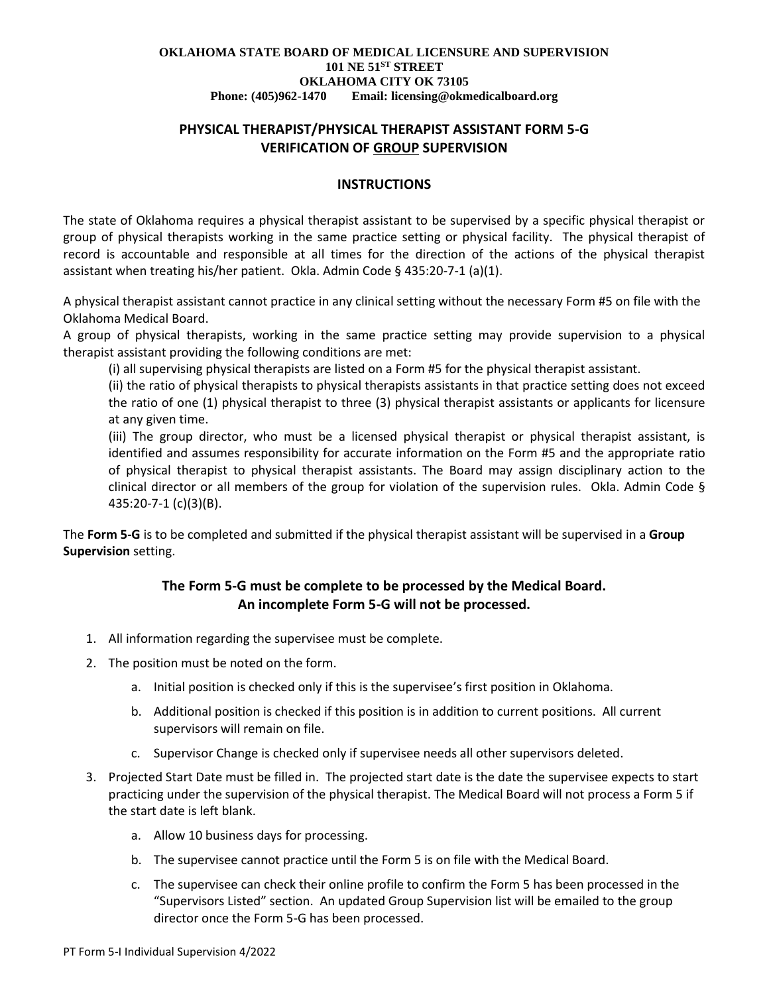# **PHYSICAL THERAPIST/PHYSICAL THERAPIST ASSISTANT FORM 5-G VERIFICATION OF GROUP SUPERVISION**

### **INSTRUCTIONS**

The state of Oklahoma requires a physical therapist assistant to be supervised by a specific physical therapist or group of physical therapists working in the same practice setting or physical facility. The physical therapist of record is accountable and responsible at all times for the direction of the actions of the physical therapist assistant when treating his/her patient. Okla. Admin Code § 435:20-7-1 (a)(1).

A physical therapist assistant cannot practice in any clinical setting without the necessary Form #5 on file with the Oklahoma Medical Board.

A group of physical therapists, working in the same practice setting may provide supervision to a physical therapist assistant providing the following conditions are met:

(i) all supervising physical therapists are listed on a Form #5 for the physical therapist assistant.

(ii) the ratio of physical therapists to physical therapists assistants in that practice setting does not exceed the ratio of one (1) physical therapist to three (3) physical therapist assistants or applicants for licensure at any given time.

(iii) The group director, who must be a licensed physical therapist or physical therapist assistant, is identified and assumes responsibility for accurate information on the Form #5 and the appropriate ratio of physical therapist to physical therapist assistants. The Board may assign disciplinary action to the clinical director or all members of the group for violation of the supervision rules. Okla. Admin Code § 435:20-7-1 (c)(3)(B).

The **Form 5-G** is to be completed and submitted if the physical therapist assistant will be supervised in a **Group Supervision** setting.

# **The Form 5-G must be complete to be processed by the Medical Board. An incomplete Form 5-G will not be processed.**

- 1. All information regarding the supervisee must be complete.
- 2. The position must be noted on the form.
	- a. Initial position is checked only if this is the supervisee's first position in Oklahoma.
	- b. Additional position is checked if this position is in addition to current positions. All current supervisors will remain on file.
	- c. Supervisor Change is checked only if supervisee needs all other supervisors deleted.
- 3. Projected Start Date must be filled in. The projected start date is the date the supervisee expects to start practicing under the supervision of the physical therapist. The Medical Board will not process a Form 5 if the start date is left blank.
	- a. Allow 10 business days for processing.
	- b. The supervisee cannot practice until the Form 5 is on file with the Medical Board.
	- c. The supervisee can check their online profile to confirm the Form 5 has been processed in the "Supervisors Listed" section. An updated Group Supervision list will be emailed to the group director once the Form 5-G has been processed.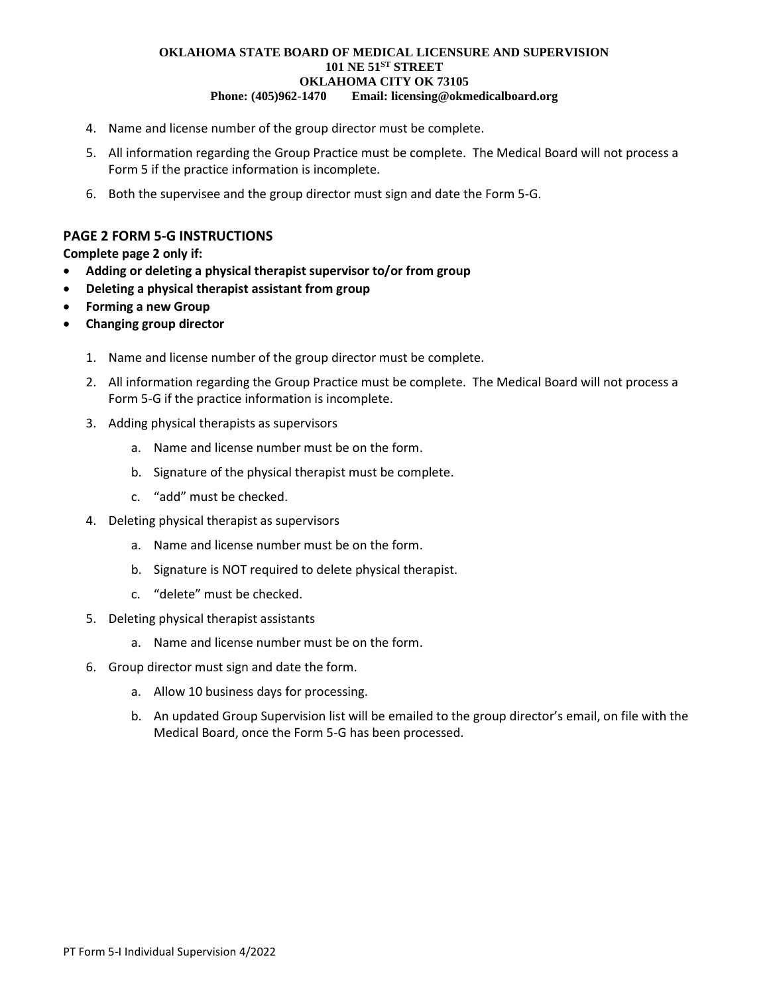- 4. Name and license number of the group director must be complete.
- 5. All information regarding the Group Practice must be complete. The Medical Board will not process a Form 5 if the practice information is incomplete.
- 6. Both the supervisee and the group director must sign and date the Form 5-G.

## **PAGE 2 FORM 5-G INSTRUCTIONS**

**Complete page 2 only if:**

- **Adding or deleting a physical therapist supervisor to/or from group**
- **Deleting a physical therapist assistant from group**
- **Forming a new Group**
- **Changing group director**
	- 1. Name and license number of the group director must be complete.
	- 2. All information regarding the Group Practice must be complete. The Medical Board will not process a Form 5-G if the practice information is incomplete.
	- 3. Adding physical therapists as supervisors
		- a. Name and license number must be on the form.
		- b. Signature of the physical therapist must be complete.
		- c. "add" must be checked.
	- 4. Deleting physical therapist as supervisors
		- a. Name and license number must be on the form.
		- b. Signature is NOT required to delete physical therapist.
		- c. "delete" must be checked.
	- 5. Deleting physical therapist assistants
		- a. Name and license number must be on the form.
	- 6. Group director must sign and date the form.
		- a. Allow 10 business days for processing.
		- b. An updated Group Supervision list will be emailed to the group director's email, on file with the Medical Board, once the Form 5-G has been processed.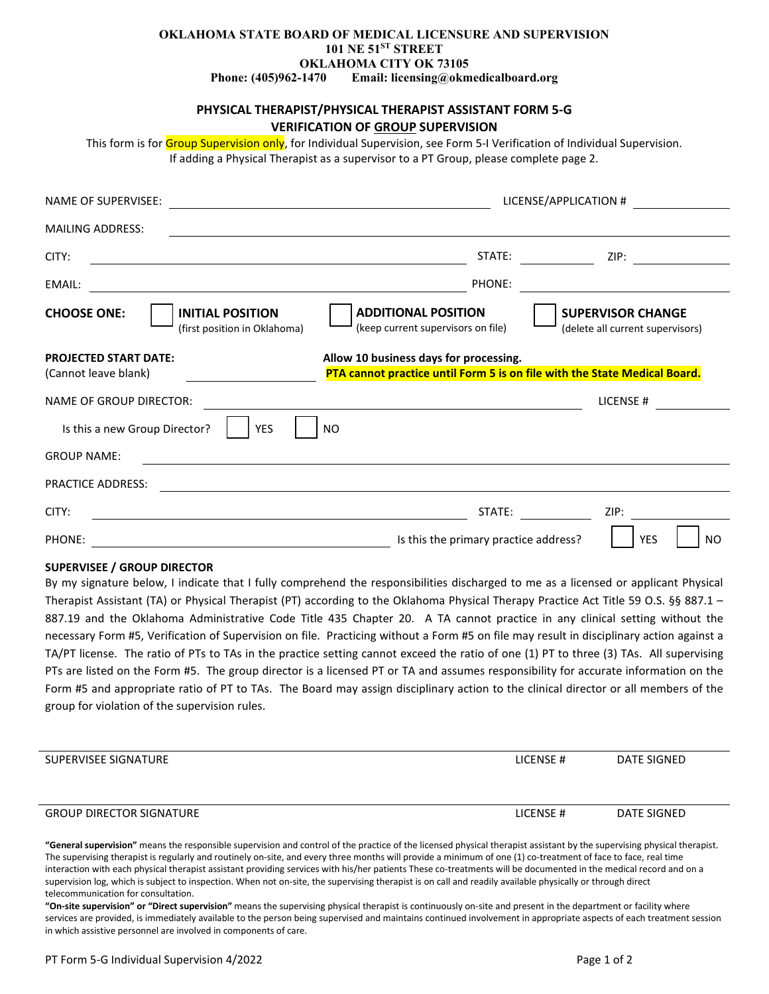## **PHYSICAL THERAPIST/PHYSICAL THERAPIST ASSISTANT FORM 5-G VERIFICATION OF GROUP SUPERVISION**

This form is for Group Supervision only, for Individual Supervision, see Form 5-I Verification of Individual Supervision. If adding a Physical Therapist as a supervisor to a PT Group, please complete page 2.

| <b>NAME OF SUPERVISEE:</b>                                                    |                                                                                                                     | LICENSE/APPLICATION #                                        |  |  |  |
|-------------------------------------------------------------------------------|---------------------------------------------------------------------------------------------------------------------|--------------------------------------------------------------|--|--|--|
| <b>MAILING ADDRESS:</b>                                                       |                                                                                                                     |                                                              |  |  |  |
| CITY:                                                                         | STATE:                                                                                                              | ZIP:                                                         |  |  |  |
| EMAIL:                                                                        | PHONE:                                                                                                              |                                                              |  |  |  |
| <b>INITIAL POSITION</b><br><b>CHOOSE ONE:</b><br>(first position in Oklahoma) | <b>ADDITIONAL POSITION</b><br>(keep current supervisors on file)                                                    | <b>SUPERVISOR CHANGE</b><br>(delete all current supervisors) |  |  |  |
| <b>PROJECTED START DATE:</b><br>(Cannot leave blank)                          | Allow 10 business days for processing.<br>PTA cannot practice until Form 5 is on file with the State Medical Board. |                                                              |  |  |  |
| NAME OF GROUP DIRECTOR:                                                       |                                                                                                                     | LICENSE #                                                    |  |  |  |
| Is this a new Group Director?<br><b>YES</b>                                   | NO.                                                                                                                 |                                                              |  |  |  |
| <b>GROUP NAME:</b>                                                            |                                                                                                                     |                                                              |  |  |  |
| <b>PRACTICE ADDRESS:</b>                                                      |                                                                                                                     |                                                              |  |  |  |
| CITY:                                                                         | STATE:                                                                                                              | ZIP:                                                         |  |  |  |
| PHONE:                                                                        | Is this the primary practice address?                                                                               | <b>YES</b><br>NO.                                            |  |  |  |

#### **SUPERVISEE / GROUP DIRECTOR**

By my signature below, I indicate that I fully comprehend the responsibilities discharged to me as a licensed or applicant Physical Therapist Assistant (TA) or Physical Therapist (PT) according to the Oklahoma Physical Therapy Practice Act Title 59 O.S. §§ 887.1 – 887.19 and the Oklahoma Administrative Code Title 435 Chapter 20. A TA cannot practice in any clinical setting without the necessary Form #5, Verification of Supervision on file. Practicing without a Form #5 on file may result in disciplinary action against a TA/PT license. The ratio of PTs to TAs in the practice setting cannot exceed the ratio of one (1) PT to three (3) TAs. All supervising PTs are listed on the Form #5. The group director is a licensed PT or TA and assumes responsibility for accurate information on the Form #5 and appropriate ratio of PT to TAs. The Board may assign disciplinary action to the clinical director or all members of the group for violation of the supervision rules.

| SUPERVISEE SIGNATURE            | LICENSE# | DATE SIGNED |
|---------------------------------|----------|-------------|
| <b>GROUP DIRECTOR SIGNATURE</b> | LICENSE# | DATE SIGNED |

**"General supervision"** means the responsible supervision and control of the practice of the licensed physical therapist assistant by the supervising physical therapist. The supervising therapist is regularly and routinely on-site, and every three months will provide a minimum of one (1) co-treatment of face to face, real time interaction with each physical therapist assistant providing services with his/her patients These co-treatments will be documented in the medical record and on a supervision log, which is subject to inspection. When not on-site, the supervising therapist is on call and readily available physically or through direct telecommunication for consultation.

**"On-site supervision" or "Direct supervision"** means the supervising physical therapist is continuously on-site and present in the department or facility where services are provided, is immediately available to the person being supervised and maintains continued involvement in appropriate aspects of each treatment session in which assistive personnel are involved in components of care.